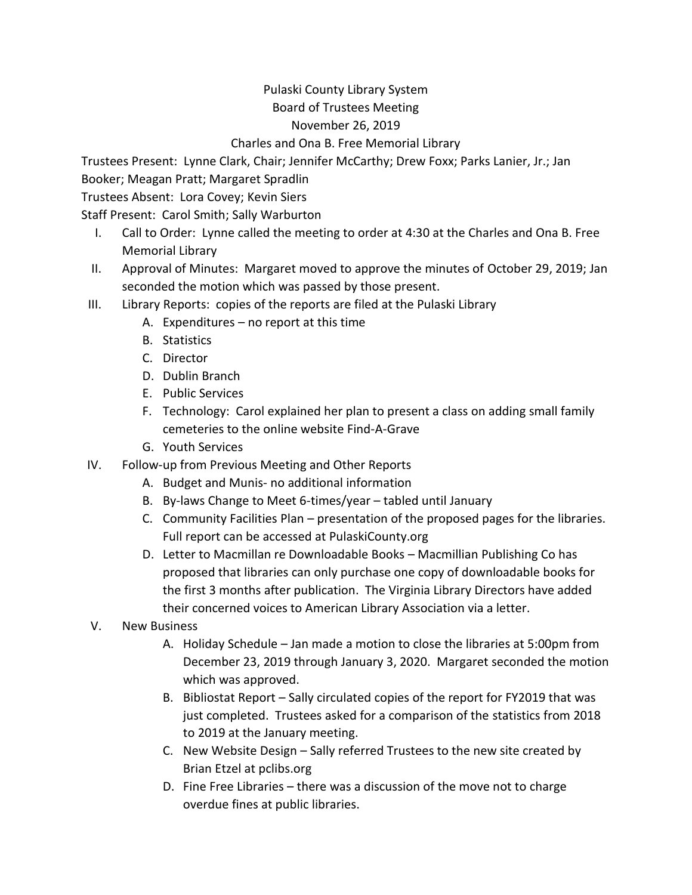## Pulaski County Library System Board of Trustees Meeting

## November 26, 2019

## Charles and Ona B. Free Memorial Library

Trustees Present: Lynne Clark, Chair; Jennifer McCarthy; Drew Foxx; Parks Lanier, Jr.; Jan Booker; Meagan Pratt; Margaret Spradlin

Trustees Absent: Lora Covey; Kevin Siers

Staff Present: Carol Smith; Sally Warburton

- I. Call to Order: Lynne called the meeting to order at 4:30 at the Charles and Ona B. Free Memorial Library
- II. Approval of Minutes: Margaret moved to approve the minutes of October 29, 2019; Jan seconded the motion which was passed by those present.
- III. Library Reports: copies of the reports are filed at the Pulaski Library
	- A. Expenditures no report at this time
	- B. Statistics
	- C. Director
	- D. Dublin Branch
	- E. Public Services
	- F. Technology: Carol explained her plan to present a class on adding small family cemeteries to the online website Find-A-Grave
	- G. Youth Services
- IV. Follow-up from Previous Meeting and Other Reports
	- A. Budget and Munis- no additional information
	- B. By-laws Change to Meet 6-times/year tabled until January
	- C. Community Facilities Plan presentation of the proposed pages for the libraries. Full report can be accessed at PulaskiCounty.org
	- D. Letter to Macmillan re Downloadable Books Macmillian Publishing Co has proposed that libraries can only purchase one copy of downloadable books for the first 3 months after publication. The Virginia Library Directors have added their concerned voices to American Library Association via a letter.
- V. New Business
	- A. Holiday Schedule Jan made a motion to close the libraries at 5:00pm from December 23, 2019 through January 3, 2020. Margaret seconded the motion which was approved.
	- B. Bibliostat Report Sally circulated copies of the report for FY2019 that was just completed. Trustees asked for a comparison of the statistics from 2018 to 2019 at the January meeting.
	- C. New Website Design Sally referred Trustees to the new site created by Brian Etzel at pclibs.org
	- D. Fine Free Libraries there was a discussion of the move not to charge overdue fines at public libraries.